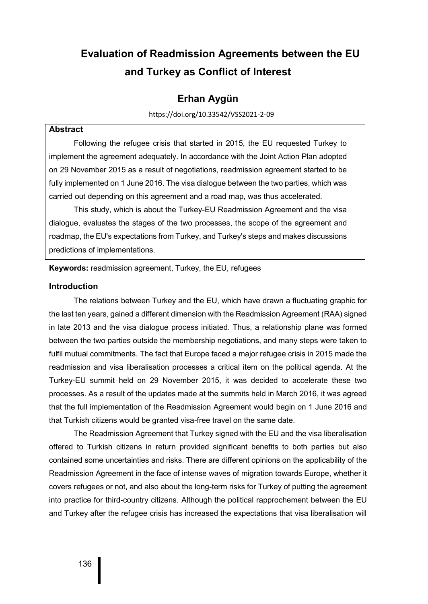# **Evaluation of Readmission Agreements between the EU and Turkey as Conflict of Interest**

# **Erhan Aygün**

#### https://doi.org/10.33542/VSS2021-2-09

## **Abstract**

Following the refugee crisis that started in 2015, the EU requested Turkey to implement the agreement adequately. In accordance with the Joint Action Plan adopted on 29 November 2015 as a result of negotiations, readmission agreement started to be fully implemented on 1 June 2016. The visa dialogue between the two parties, which was carried out depending on this agreement and a road map, was thus accelerated.

This study, which is about the Turkey-EU Readmission Agreement and the visa dialogue, evaluates the stages of the two processes, the scope of the agreement and roadmap, the EU's expectations from Turkey, and Turkey's steps and makes discussions predictions of implementations.

**Keywords:** readmission agreement, Turkey, the EU, refugees

#### **Introduction**

The relations between Turkey and the EU, which have drawn a fluctuating graphic for the last ten years, gained a different dimension with the Readmission Agreement (RAA) signed in late 2013 and the visa dialogue process initiated. Thus, a relationship plane was formed between the two parties outside the membership negotiations, and many steps were taken to fulfil mutual commitments. The fact that Europe faced a major refugee crisis in 2015 made the readmission and visa liberalisation processes a critical item on the political agenda. At the Turkey-EU summit held on 29 November 2015, it was decided to accelerate these two processes. As a result of the updates made at the summits held in March 2016, it was agreed that the full implementation of the Readmission Agreement would begin on 1 June 2016 and that Turkish citizens would be granted visa-free travel on the same date.

The Readmission Agreement that Turkey signed with the EU and the visa liberalisation offered to Turkish citizens in return provided significant benefits to both parties but also contained some uncertainties and risks. There are different opinions on the applicability of the Readmission Agreement in the face of intense waves of migration towards Europe, whether it covers refugees or not, and also about the long-term risks for Turkey of putting the agreement into practice for third-country citizens. Although the political rapprochement between the EU and Turkey after the refugee crisis has increased the expectations that visa liberalisation will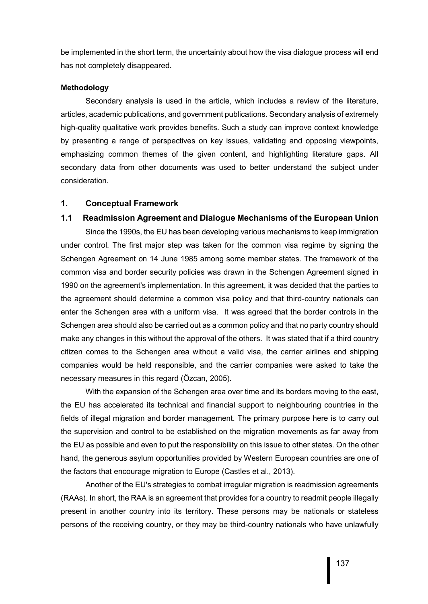be implemented in the short term, the uncertainty about how the visa dialogue process will end has not completely disappeared.

#### **Methodology**

Secondary analysis is used in the article, which includes a review of the literature, articles, academic publications, and government publications. Secondary analysis of extremely high-quality qualitative work provides benefits. Such a study can improve context knowledge by presenting a range of perspectives on key issues, validating and opposing viewpoints, emphasizing common themes of the given content, and highlighting literature gaps. All secondary data from other documents was used to better understand the subject under consideration.

#### **1. Conceptual Framework**

#### **1.1 Readmission Agreement and Dialogue Mechanisms of the European Union**

Since the 1990s, the EU has been developing various mechanisms to keep immigration under control. The first major step was taken for the common visa regime by signing the Schengen Agreement on 14 June 1985 among some member states. The framework of the common visa and border security policies was drawn in the Schengen Agreement signed in 1990 on the agreement's implementation. In this agreement, it was decided that the parties to the agreement should determine a common visa policy and that third-country nationals can enter the Schengen area with a uniform visa. It was agreed that the border controls in the Schengen area should also be carried out as a common policy and that no party country should make any changes in this without the approval of the others. It was stated that if a third country citizen comes to the Schengen area without a valid visa, the carrier airlines and shipping companies would be held responsible, and the carrier companies were asked to take the necessary measures in this regard (Özcan, 2005).

With the expansion of the Schengen area over time and its borders moving to the east, the EU has accelerated its technical and financial support to neighbouring countries in the fields of illegal migration and border management. The primary purpose here is to carry out the supervision and control to be established on the migration movements as far away from the EU as possible and even to put the responsibility on this issue to other states. On the other hand, the generous asylum opportunities provided by Western European countries are one of the factors that encourage migration to Europe (Castles et al., 2013).

Another of the EU's strategies to combat irregular migration is readmission agreements (RAAs). In short, the RAA is an agreement that provides for a country to readmit people illegally present in another country into its territory. These persons may be nationals or stateless persons of the receiving country, or they may be third-country nationals who have unlawfully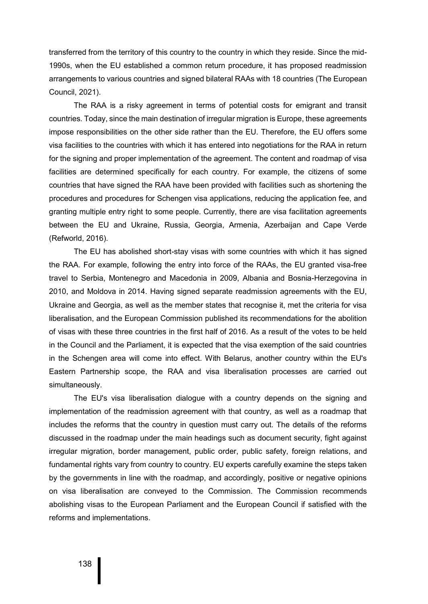transferred from the territory of this country to the country in which they reside. Since the mid-1990s, when the EU established a common return procedure, it has proposed readmission arrangements to various countries and signed bilateral RAAs with 18 countries (The European Council, 2021).

The RAA is a risky agreement in terms of potential costs for emigrant and transit countries. Today, since the main destination of irregular migration is Europe, these agreements impose responsibilities on the other side rather than the EU. Therefore, the EU offers some visa facilities to the countries with which it has entered into negotiations for the RAA in return for the signing and proper implementation of the agreement. The content and roadmap of visa facilities are determined specifically for each country. For example, the citizens of some countries that have signed the RAA have been provided with facilities such as shortening the procedures and procedures for Schengen visa applications, reducing the application fee, and granting multiple entry right to some people. Currently, there are visa facilitation agreements between the EU and Ukraine, Russia, Georgia, Armenia, Azerbaijan and Cape Verde (Refworld, 2016).

The EU has abolished short-stay visas with some countries with which it has signed the RAA. For example, following the entry into force of the RAAs, the EU granted visa-free travel to Serbia, Montenegro and Macedonia in 2009, Albania and Bosnia-Herzegovina in 2010, and Moldova in 2014. Having signed separate readmission agreements with the EU, Ukraine and Georgia, as well as the member states that recognise it, met the criteria for visa liberalisation, and the European Commission published its recommendations for the abolition of visas with these three countries in the first half of 2016. As a result of the votes to be held in the Council and the Parliament, it is expected that the visa exemption of the said countries in the Schengen area will come into effect. With Belarus, another country within the EU's Eastern Partnership scope, the RAA and visa liberalisation processes are carried out simultaneously.

The EU's visa liberalisation dialogue with a country depends on the signing and implementation of the readmission agreement with that country, as well as a roadmap that includes the reforms that the country in question must carry out. The details of the reforms discussed in the roadmap under the main headings such as document security, fight against irregular migration, border management, public order, public safety, foreign relations, and fundamental rights vary from country to country. EU experts carefully examine the steps taken by the governments in line with the roadmap, and accordingly, positive or negative opinions on visa liberalisation are conveyed to the Commission. The Commission recommends abolishing visas to the European Parliament and the European Council if satisfied with the reforms and implementations.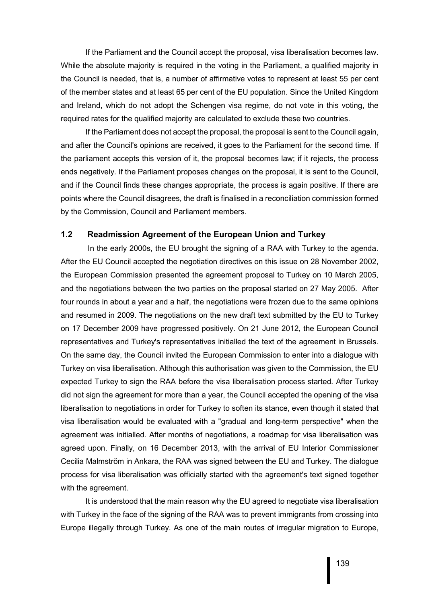If the Parliament and the Council accept the proposal, visa liberalisation becomes law. While the absolute majority is required in the voting in the Parliament, a qualified majority in the Council is needed, that is, a number of affirmative votes to represent at least 55 per cent of the member states and at least 65 per cent of the EU population. Since the United Kingdom and Ireland, which do not adopt the Schengen visa regime, do not vote in this voting, the required rates for the qualified majority are calculated to exclude these two countries.

If the Parliament does not accept the proposal, the proposal is sent to the Council again, and after the Council's opinions are received, it goes to the Parliament for the second time. If the parliament accepts this version of it, the proposal becomes law; if it rejects, the process ends negatively. If the Parliament proposes changes on the proposal, it is sent to the Council, and if the Council finds these changes appropriate, the process is again positive. If there are points where the Council disagrees, the draft is finalised in a reconciliation commission formed by the Commission, Council and Parliament members.

## **1.2 Readmission Agreement of the European Union and Turkey**

In the early 2000s, the EU brought the signing of a RAA with Turkey to the agenda. After the EU Council accepted the negotiation directives on this issue on 28 November 2002, the European Commission presented the agreement proposal to Turkey on 10 March 2005, and the negotiations between the two parties on the proposal started on 27 May 2005. After four rounds in about a year and a half, the negotiations were frozen due to the same opinions and resumed in 2009. The negotiations on the new draft text submitted by the EU to Turkey on 17 December 2009 have progressed positively. On 21 June 2012, the European Council representatives and Turkey's representatives initialled the text of the agreement in Brussels. On the same day, the Council invited the European Commission to enter into a dialogue with Turkey on visa liberalisation. Although this authorisation was given to the Commission, the EU expected Turkey to sign the RAA before the visa liberalisation process started. After Turkey did not sign the agreement for more than a year, the Council accepted the opening of the visa liberalisation to negotiations in order for Turkey to soften its stance, even though it stated that visa liberalisation would be evaluated with a "gradual and long-term perspective" when the agreement was initialled. After months of negotiations, a roadmap for visa liberalisation was agreed upon. Finally, on 16 December 2013, with the arrival of EU Interior Commissioner Cecilia Malmström in Ankara, the RAA was signed between the EU and Turkey. The dialogue process for visa liberalisation was officially started with the agreement's text signed together with the agreement.

It is understood that the main reason why the EU agreed to negotiate visa liberalisation with Turkey in the face of the signing of the RAA was to prevent immigrants from crossing into Europe illegally through Turkey. As one of the main routes of irregular migration to Europe,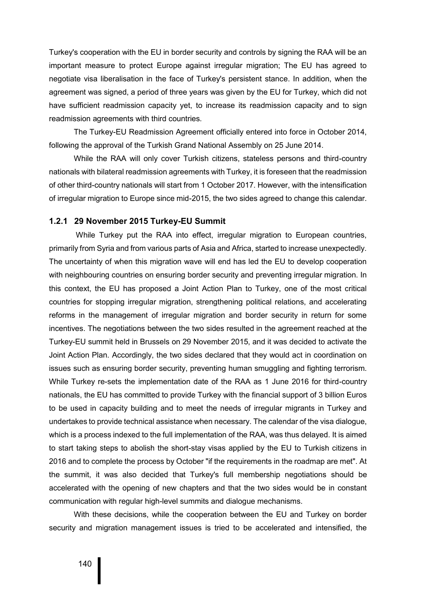Turkey's cooperation with the EU in border security and controls by signing the RAA will be an important measure to protect Europe against irregular migration; The EU has agreed to negotiate visa liberalisation in the face of Turkey's persistent stance. In addition, when the agreement was signed, a period of three years was given by the EU for Turkey, which did not have sufficient readmission capacity yet, to increase its readmission capacity and to sign readmission agreements with third countries.

The Turkey-EU Readmission Agreement officially entered into force in October 2014, following the approval of the Turkish Grand National Assembly on 25 June 2014.

While the RAA will only cover Turkish citizens, stateless persons and third-country nationals with bilateral readmission agreements with Turkey, it is foreseen that the readmission of other third-country nationals will start from 1 October 2017. However, with the intensification of irregular migration to Europe since mid-2015, the two sides agreed to change this calendar.

#### **1.2.1 29 November 2015 Turkey-EU Summit**

While Turkey put the RAA into effect, irregular migration to European countries, primarily from Syria and from various parts of Asia and Africa, started to increase unexpectedly. The uncertainty of when this migration wave will end has led the EU to develop cooperation with neighbouring countries on ensuring border security and preventing irregular migration. In this context, the EU has proposed a Joint Action Plan to Turkey, one of the most critical countries for stopping irregular migration, strengthening political relations, and accelerating reforms in the management of irregular migration and border security in return for some incentives. The negotiations between the two sides resulted in the agreement reached at the Turkey-EU summit held in Brussels on 29 November 2015, and it was decided to activate the Joint Action Plan. Accordingly, the two sides declared that they would act in coordination on issues such as ensuring border security, preventing human smuggling and fighting terrorism. While Turkey re-sets the implementation date of the RAA as 1 June 2016 for third-country nationals, the EU has committed to provide Turkey with the financial support of 3 billion Euros to be used in capacity building and to meet the needs of irregular migrants in Turkey and undertakes to provide technical assistance when necessary. The calendar of the visa dialogue, which is a process indexed to the full implementation of the RAA, was thus delayed. It is aimed to start taking steps to abolish the short-stay visas applied by the EU to Turkish citizens in 2016 and to complete the process by October "if the requirements in the roadmap are met". At the summit, it was also decided that Turkey's full membership negotiations should be accelerated with the opening of new chapters and that the two sides would be in constant communication with regular high-level summits and dialogue mechanisms.

With these decisions, while the cooperation between the EU and Turkey on border security and migration management issues is tried to be accelerated and intensified, the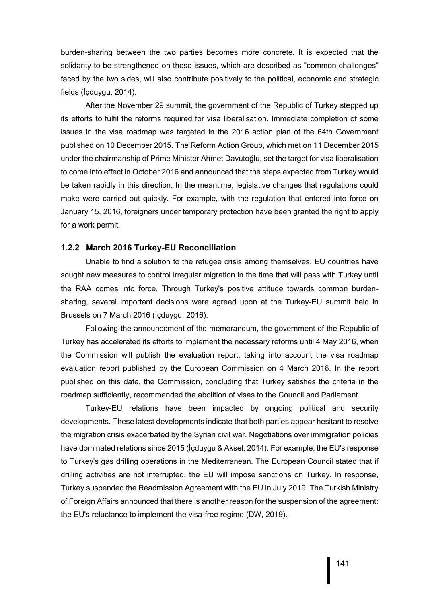burden-sharing between the two parties becomes more concrete. It is expected that the solidarity to be strengthened on these issues, which are described as "common challenges" faced by the two sides, will also contribute positively to the political, economic and strategic fields (İçduygu, 2014).

After the November 29 summit, the government of the Republic of Turkey stepped up its efforts to fulfil the reforms required for visa liberalisation. Immediate completion of some issues in the visa roadmap was targeted in the 2016 action plan of the 64th Government published on 10 December 2015. The Reform Action Group, which met on 11 December 2015 under the chairmanship of Prime Minister Ahmet Davutoğlu, set the target for visa liberalisation to come into effect in October 2016 and announced that the steps expected from Turkey would be taken rapidly in this direction. In the meantime, legislative changes that regulations could make were carried out quickly. For example, with the regulation that entered into force on January 15, 2016, foreigners under temporary protection have been granted the right to apply for a work permit.

#### **1.2.2 March 2016 Turkey-EU Reconciliation**

Unable to find a solution to the refugee crisis among themselves, EU countries have sought new measures to control irregular migration in the time that will pass with Turkey until the RAA comes into force. Through Turkey's positive attitude towards common burdensharing, several important decisions were agreed upon at the Turkey-EU summit held in Brussels on 7 March 2016 (İçduygu, 2016).

Following the announcement of the memorandum, the government of the Republic of Turkey has accelerated its efforts to implement the necessary reforms until 4 May 2016, when the Commission will publish the evaluation report, taking into account the visa roadmap evaluation report published by the European Commission on 4 March 2016. In the report published on this date, the Commission, concluding that Turkey satisfies the criteria in the roadmap sufficiently, recommended the abolition of visas to the Council and Parliament.

Turkey-EU relations have been impacted by ongoing political and security developments. These latest developments indicate that both parties appear hesitant to resolve the migration crisis exacerbated by the Syrian civil war. Negotiations over immigration policies have dominated relations since 2015 (İçduygu & Aksel, 2014). For example; the EU's response to Turkey's gas drilling operations in the Mediterranean. The European Council stated that if drilling activities are not interrupted, the EU will impose sanctions on Turkey. In response, Turkey suspended the Readmission Agreement with the EU in July 2019. The Turkish Ministry of Foreign Affairs announced that there is another reason for the suspension of the agreement: the EU's reluctance to implement the visa-free regime (DW, 2019).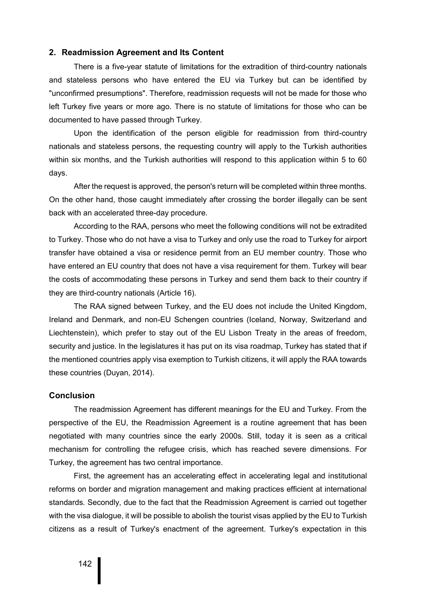## **2. Readmission Agreement and Its Content**

There is a five-year statute of limitations for the extradition of third-country nationals and stateless persons who have entered the EU via Turkey but can be identified by "unconfirmed presumptions". Therefore, readmission requests will not be made for those who left Turkey five years or more ago. There is no statute of limitations for those who can be documented to have passed through Turkey.

Upon the identification of the person eligible for readmission from third-country nationals and stateless persons, the requesting country will apply to the Turkish authorities within six months, and the Turkish authorities will respond to this application within 5 to 60 days.

After the request is approved, the person's return will be completed within three months. On the other hand, those caught immediately after crossing the border illegally can be sent back with an accelerated three-day procedure.

According to the RAA, persons who meet the following conditions will not be extradited to Turkey. Those who do not have a visa to Turkey and only use the road to Turkey for airport transfer have obtained a visa or residence permit from an EU member country. Those who have entered an EU country that does not have a visa requirement for them. Turkey will bear the costs of accommodating these persons in Turkey and send them back to their country if they are third-country nationals (Article 16).

The RAA signed between Turkey, and the EU does not include the United Kingdom, Ireland and Denmark, and non-EU Schengen countries (Iceland, Norway, Switzerland and Liechtenstein), which prefer to stay out of the EU Lisbon Treaty in the areas of freedom, security and justice. In the legislatures it has put on its visa roadmap, Turkey has stated that if the mentioned countries apply visa exemption to Turkish citizens, it will apply the RAA towards these countries (Duyan, 2014).

## **Conclusion**

The readmission Agreement has different meanings for the EU and Turkey. From the perspective of the EU, the Readmission Agreement is a routine agreement that has been negotiated with many countries since the early 2000s. Still, today it is seen as a critical mechanism for controlling the refugee crisis, which has reached severe dimensions. For Turkey, the agreement has two central importance.

First, the agreement has an accelerating effect in accelerating legal and institutional reforms on border and migration management and making practices efficient at international standards. Secondly, due to the fact that the Readmission Agreement is carried out together with the visa dialogue, it will be possible to abolish the tourist visas applied by the EU to Turkish citizens as a result of Turkey's enactment of the agreement. Turkey's expectation in this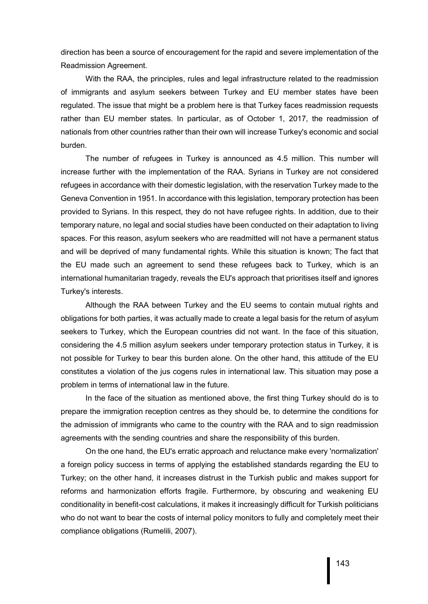direction has been a source of encouragement for the rapid and severe implementation of the Readmission Agreement.

With the RAA, the principles, rules and legal infrastructure related to the readmission of immigrants and asylum seekers between Turkey and EU member states have been regulated. The issue that might be a problem here is that Turkey faces readmission requests rather than EU member states. In particular, as of October 1, 2017, the readmission of nationals from other countries rather than their own will increase Turkey's economic and social burden.

The number of refugees in Turkey is announced as 4.5 million. This number will increase further with the implementation of the RAA. Syrians in Turkey are not considered refugees in accordance with their domestic legislation, with the reservation Turkey made to the Geneva Convention in 1951. In accordance with this legislation, temporary protection has been provided to Syrians. In this respect, they do not have refugee rights. In addition, due to their temporary nature, no legal and social studies have been conducted on their adaptation to living spaces. For this reason, asylum seekers who are readmitted will not have a permanent status and will be deprived of many fundamental rights. While this situation is known; The fact that the EU made such an agreement to send these refugees back to Turkey, which is an international humanitarian tragedy, reveals the EU's approach that prioritises itself and ignores Turkey's interests.

Although the RAA between Turkey and the EU seems to contain mutual rights and obligations for both parties, it was actually made to create a legal basis for the return of asylum seekers to Turkey, which the European countries did not want. In the face of this situation, considering the 4.5 million asylum seekers under temporary protection status in Turkey, it is not possible for Turkey to bear this burden alone. On the other hand, this attitude of the EU constitutes a violation of the jus cogens rules in international law. This situation may pose a problem in terms of international law in the future.

In the face of the situation as mentioned above, the first thing Turkey should do is to prepare the immigration reception centres as they should be, to determine the conditions for the admission of immigrants who came to the country with the RAA and to sign readmission agreements with the sending countries and share the responsibility of this burden.

On the one hand, the EU's erratic approach and reluctance make every 'normalization' a foreign policy success in terms of applying the established standards regarding the EU to Turkey; on the other hand, it increases distrust in the Turkish public and makes support for reforms and harmonization efforts fragile. Furthermore, by obscuring and weakening EU conditionality in benefit-cost calculations, it makes it increasingly difficult for Turkish politicians who do not want to bear the costs of internal policy monitors to fully and completely meet their compliance obligations (Rumelili, 2007).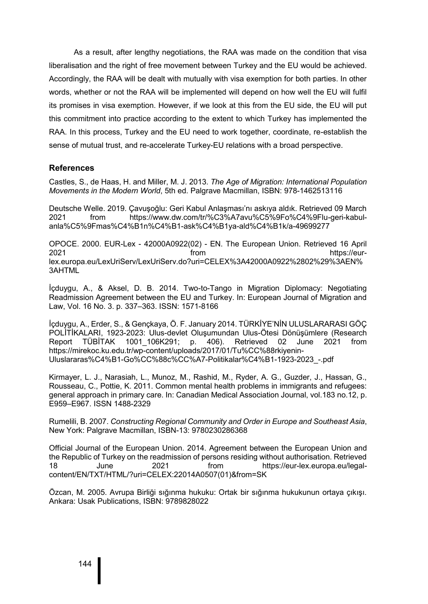As a result, after lengthy negotiations, the RAA was made on the condition that visa liberalisation and the right of free movement between Turkey and the EU would be achieved. Accordingly, the RAA will be dealt with mutually with visa exemption for both parties. In other words, whether or not the RAA will be implemented will depend on how well the EU will fulfil its promises in visa exemption. However, if we look at this from the EU side, the EU will put this commitment into practice according to the extent to which Turkey has implemented the RAA. In this process, Turkey and the EU need to work together, coordinate, re-establish the sense of mutual trust, and re-accelerate Turkey-EU relations with a broad perspective.

## **References**

Castles, S., de Haas, H. and Miller, M. J. 2013. *The Age of Migration: International Population Movements in the Modern World*, 5th ed. Palgrave Macmillan, ISBN: 978-1462513116

Deutsche Welle. 2019. Çavuşoğlu: Geri Kabul Anlaşması'nı askıya aldık. Retrieved 09 March 2021 from https://www.dw.com/tr/%C3%A7avu%C5%9Fo%C4%9Flu-geri-kabulanla%C5%9Fmas%C4%B1n%C4%B1-ask%C4%B1ya-ald%C4%B1k/a-49699277

OPOCE. 2000. EUR-Lex - 42000A0922(02) - EN. The European Union. Retrieved 16 April 2021 from https://eurlex.europa.eu/LexUriServ/LexUriServ.do?uri=CELEX%3A42000A0922%2802%29%3AEN% 3AHTML

İçduygu, A., & Aksel, D. B. 2014. Two-to-Tango in Migration Diplomacy: Negotiating Readmission Agreement between the EU and Turkey. In: European Journal of Migration and Law, Vol. 16 No. 3. p. 337–363. ISSN: 1571-8166

İçduygu, A., Erder, S., & Gençkaya, Ö. F. January 2014. TÜRKİYE'NİN ULUSLARARASI GÖÇ POLİTİKALARI, 1923-2023: Ulus-devlet Oluşumundan Ulus-Ötesi Dönüşümlere (Research Report TÜBİTAK 1001 106K291; p. 406). Retrieved 02 June 2021 from https://mirekoc.ku.edu.tr/wp-content/uploads/2017/01/Tu%CC%88rkiyenin-Uluslararas%C4%B1-Go%CC%88c%CC%A7-Politikalar%C4%B1-1923-2023\_-.pdf

Kirmayer, L. J., Narasiah, L., Munoz, M., Rashid, M., Ryder, A. G., Guzder, J., Hassan, G., Rousseau, C., Pottie, K. 2011. Common mental health problems in immigrants and refugees: general approach in primary care. In: Canadian Medical Association Journal, vol.183 no.12, p. E959–E967. ISSN 1488-2329

Rumelili, B. 2007. *Constructing Regional Community and Order in Europe and Southeast Asia*, New York: Palgrave Macmillan, ISBN-13: 9780230286368

Official Journal of the European Union. 2014. Agreement between the European Union and the Republic of Turkey on the readmission of persons residing without authorisation. Retrieved<br>18 a from the https://eur-lex europa eu/legalhttps://eur-lex.europa.eu/legalcontent/EN/TXT/HTML/?uri=CELEX:22014A0507(01)&from=SK

Özcan, M. 2005. Avrupa Birliği sığınma hukuku: Ortak bir sığınma hukukunun ortaya çıkışı. Ankara: Usak Publications, ISBN: 9789828022